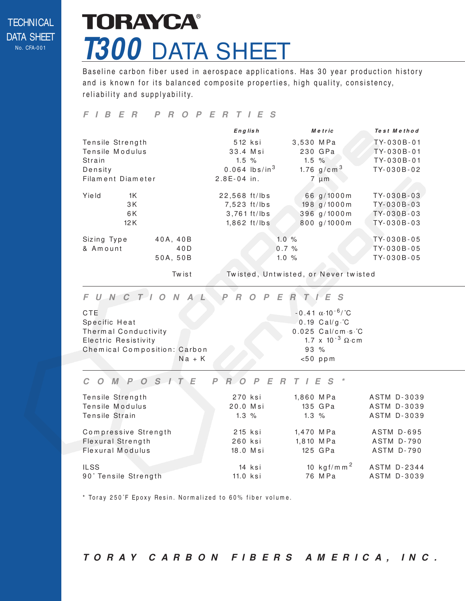#### **TECHNICAL** DATA SHEET No. CFA-0 0 1

## **TORAYCA® T300** DATA SHEET

Baseline carbon fiber used in aerospace applications. Has 30 year production history and is known for its balanced composite properties, high quality, consistency, reliability and supplyability.

#### **F I B E R P R O P E R T I E S**

|                   |          |               | $Eng$ lish                  |      | Metric |                   | Test Method  |
|-------------------|----------|---------------|-----------------------------|------|--------|-------------------|--------------|
| Tensile Strength  |          | 512 ksi       |                             |      |        | 3,530 MPa         | TY-030B-01   |
| Tensile Modulus   |          | 33.4 Msi      |                             |      |        | 230 GPa           | TY-030B-01   |
| Strain            |          |               | $1.5\%$                     |      |        | $1.5 \%$          | TY-030B-01   |
| Density           |          |               | $0.064$ lbs/in <sup>3</sup> |      |        | 1.76 $g/cm^{3}$   | TY-030B-02   |
| Filament Diameter |          | $2.8E-04$ in. |                             |      |        | $7 \mu m$         |              |
| Yield<br>1K       |          | 22,568 ft/lbs |                             |      |        | 66 g/1000m        | TY-030B-03   |
| 3 K               |          | 7,523 ft/lbs  |                             |      |        | $198$ g/ $1000$ m | $TY-030B-03$ |
| 6K                |          |               | $3.761$ ft/lbs              |      |        | 396 g/1000m       | TY-030B-03   |
| 12K               |          |               | $1,862$ ft/lbs              |      |        | 800 g/1000m       | TY-030B-03   |
| Sizing Type       | 40A, 40B |               |                             | 1.0% |        |                   | TY-030B-05   |
| & Amount          | 40D      |               |                             | 0.7% |        |                   | TY-030B-05   |
|                   | 50A, 50B |               |                             | 1.0% |        |                   | TY-030B-05   |
|                   |          |               |                             |      |        |                   |              |

Twist Twisted, Untwisted, or Never twisted

### **F U N C T I O N A L P R O P E R T I E S**

| <b>CTE</b>                   |          |  |        | $-0.41 \alpha \cdot 10^{-6}$ /°C    |
|------------------------------|----------|--|--------|-------------------------------------|
| Specific Heat                |          |  |        | $0.19$ Cal/g $\cdot$ °C             |
| Thermal Conductivity         |          |  |        | $0.025$ Cal/cm $\cdot$ s $\cdot$ °C |
| <b>Electric Resistivity</b>  |          |  |        | 1.7 x 10 <sup>-3</sup> $\Omega$ cm  |
| Chemical Composition: Carbon |          |  | $93\%$ |                                     |
|                              | $Na + K$ |  |        | $< 50$ ppm                          |

#### **C O M P O S I T E P R O P E R T I E S \***

| Tensile Strength     | 270 ksi    |        | 1,860 MPa |                          | ASTM D-3039        |
|----------------------|------------|--------|-----------|--------------------------|--------------------|
| Tensile Modulus      | 20.0 Msi   |        |           | 135 GPa                  | ASTM D-3039        |
| Tensile Strain       | $1.3\%$    |        | $1.3\%$   |                          | <b>ASTM D-3039</b> |
|                      |            |        |           |                          |                    |
| Compressive Strength | 215 ksi    |        | 1,470 MPa |                          | <b>ASTM D-695</b>  |
| Flexural Strength    | 260 ksi    |        |           | 1,810 MPa                | ASTM D-790         |
| Flexural Modulus     | 18.0 Msi   |        |           | 125 GPa                  | <b>ASTM D-790</b>  |
| <b>ILSS</b>          |            | 14 ksi |           | 10 kg f/m m <sup>2</sup> | ASTM D-2344        |
|                      |            |        |           |                          |                    |
| 90° Tensile Strength | $11.0$ ksi |        |           | 76 M Pa                  | ASTM D-3039        |

\* Toray 250°F Epoxy Resin. Normalized to 60% fiber volume.

**T O R AY C A R B O N F I B E R S A M E R I C A , I N C .**